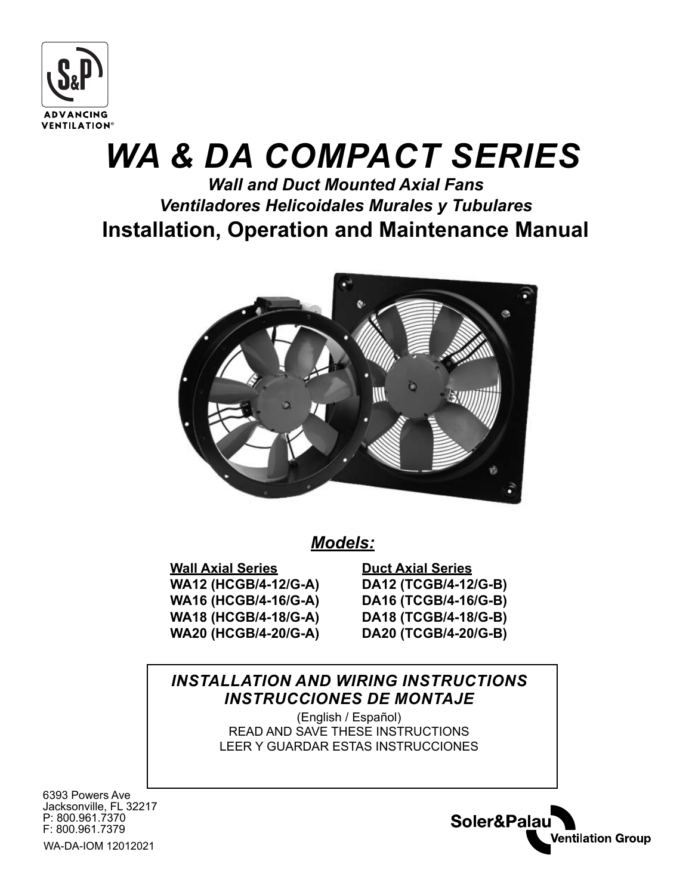

# *WA & DA COMPACT SERIES*

# *Wall and Duct Mounted Axial Fans Ventiladores Helicoidales Murales y Tubulares* **Installation, Operation and Maintenance Manual**



*Models:*

**Wall Axial Series WA12 (HCGB/4-12/G-A) WA16 (HCGB/4-16/G-A) WA18 (HCGB/4-18/G-A) WA20 (HCGB/4-20/G-A)**

**Duct Axial Series DA12 (TCGB/4-12/G-B) DA16 (TCGB/4-16/G-B) DA18 (TCGB/4-18/G-B) DA20 (TCGB/4-20/G-B)**

Soler&Palau

**Ventilation Group** 

## *INSTALLATION AND WIRING INSTRUCTIONS INSTRUCCIONES DE MONTAJE*

(English / Español) READ AND SAVE THESE INSTRUCTIONS LEER Y GUARDAR ESTAS INSTRUCCIONES

6393 Powers Ave Jacksonville, FL 32217 P: 800.961.7370 F: 800.961.7379

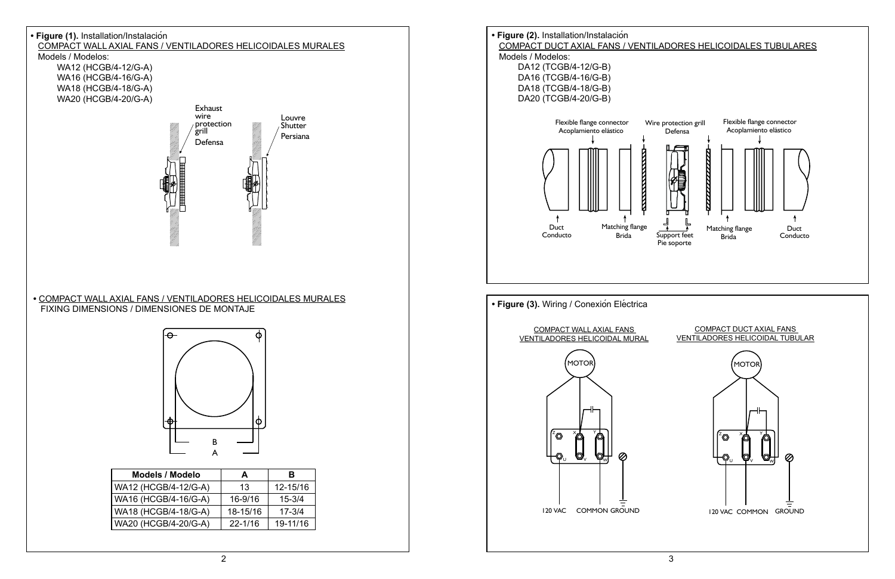MOTOR

Z X Y Y Y Y Y Y Y

U V W W W W W W W W W W W W W W W W



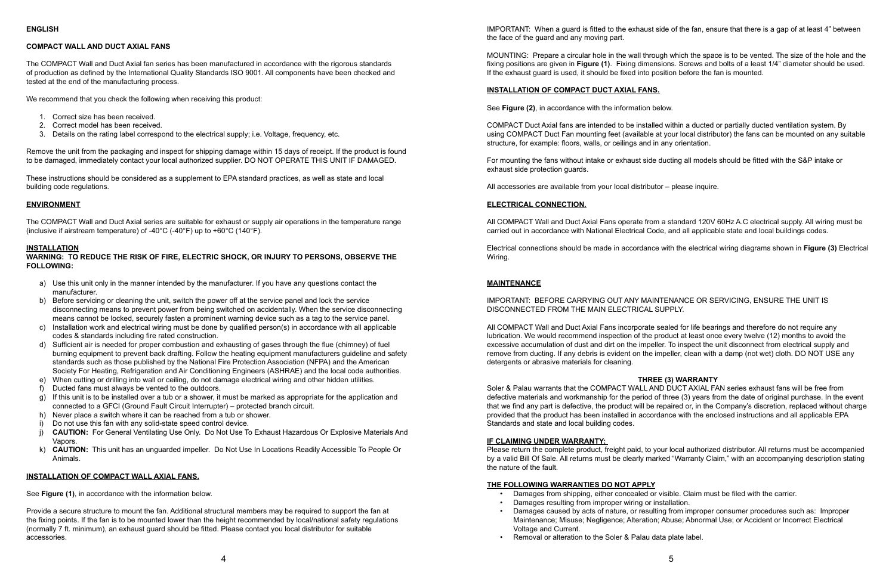#### **COMPACT WALL AND DUCT AXIAL FANS**

The COMPACT Wall and Duct Axial fan series has been manufactured in accordance with the rigorous standards of production as defined by the International Quality Standards ISO 9001. All components have been checked and tested at the end of the manufacturing process.

We recommend that you check the following when receiving this product:

The COMPACT Wall and Duct Axial series are suitable for exhaust or supply air operations in the temperature range (inclusive if airstream temperature) of -40 $^{\circ}$ C (-40 $^{\circ}$ F) up to +60 $^{\circ}$ C (140 $^{\circ}$ F).

- 1. Correct size has been received.
- 2. Correct model has been received.
- 3. Details on the rating label correspond to the electrical supply; i.e. Voltage, frequency, etc.

Remove the unit from the packaging and inspect for shipping damage within 15 days of receipt. If the product is found to be damaged, immediately contact your local authorized supplier. DO NOT OPERATE THIS UNIT IF DAMAGED.

These instructions should be considered as a supplement to EPA standard practices, as well as state and local building code regulations.

#### **ENVIRONMENT**

#### **INSTALLATION**

**WARNING: TO REDUCE THE RISK OF FIRE, ELECTRIC SHOCK, OR INJURY TO PERSONS, OBSERVE THE FOLLOWING:**

- a) Use this unit only in the manner intended by the manufacturer. If you have any questions contact the manufacturer.
- b) Before servicing or cleaning the unit, switch the power off at the service panel and lock the service disconnecting means to prevent power from being switched on accidentally. When the service disconnecting means cannot be locked, securely fasten a prominent warning device such as a tag to the service panel.
- c) Installation work and electrical wiring must be done by qualified person(s) in accordance with all applicable codes & standards including fire rated construction.
- d) Sufficient air is needed for proper combustion and exhausting of gases through the flue (chimney) of fuel burning equipment to prevent back drafting. Follow the heating equipment manufacturers guideline and safety standards such as those published by the National Fire Protection Association (NFPA) and the American Society For Heating, Refrigeration and Air Conditioning Engineers (ASHRAE) and the local code authorities.
- e) When cutting or drilling into wall or ceiling, do not damage electrical wiring and other hidden utilities.
- f) Ducted fans must always be vented to the outdoors.
- g) If this unit is to be installed over a tub or a shower, it must be marked as appropriate for the application and connected to a GFCI (Ground Fault Circuit Interrupter) – protected branch circuit.
- h) Never place a switch where it can be reached from a tub or shower.
- i) Do not use this fan with any solid-state speed control device.
- j) **CAUTION:** For General Ventilating Use Only. Do Not Use To Exhaust Hazardous Or Explosive Materials And Vapors.
- k) **CAUTION:** This unit has an unguarded impeller. Do Not Use In Locations Readily Accessible To People Or Animals.

#### **INSTALLATION OF COMPACT WALL AXIAL FANS.**

See **Figure (1)**, in accordance with the information below.

Provide a secure structure to mount the fan. Additional structural members may be required to support the fan at the fixing points. If the fan is to be mounted lower than the height recommended by local/national safety regulations (normally 7 ft. minimum), an exhaust guard should be fitted. Please contact you local distributor for suitable accessories.

IMPORTANT: When a guard is fitted to the exhaust side of the fan, ensure that there is a gap of at least 4" between the face of the guard and any moving part.

MOUNTING: Prepare a circular hole in the wall through which the space is to be vented. The size of the hole and the fixing positions are given in **Figure (1)**. Fixing dimensions. Screws and bolts of a least 1/4" diameter should be used. If the exhaust guard is used, it should be fixed into position before the fan is mounted.

#### **INSTALLATION OF COMPACT DUCT AXIAL FANS.**

See **Figure (2)**, in accordance with the information below.

COMPACT Duct Axial fans are intended to be installed within a ducted or partially ducted ventilation system. By using COMPACT Duct Fan mounting feet (available at your local distributor) the fans can be mounted on any suitable structure, for example: floors, walls, or ceilings and in any orientation.

For mounting the fans without intake or exhaust side ducting all models should be fitted with the S&P intake or exhaust side protection guards.

All accessories are available from your local distributor – please inquire.

#### **ELECTRICAL CONNECTION.**

All COMPACT Wall and Duct Axial Fans operate from a standard 120V 60Hz A.C electrical supply. All wiring must be carried out in accordance with National Electrical Code, and all applicable state and local buildings codes.

Electrical connections should be made in accordance with the electrical wiring diagrams shown in **Figure (3)** Electrical Wiring.

#### **MAINTENANCE**

IMPORTANT: BEFORE CARRYING OUT ANY MAINTENANCE OR SERVICING, ENSURE THE UNIT IS DISCONNECTED FROM THE MAIN ELECTRICAL SUPPLY.

All COMPACT Wall and Duct Axial Fans incorporate sealed for life bearings and therefore do not require any lubrication. We would recommend inspection of the product at least once every twelve (12) months to avoid the excessive accumulation of dust and dirt on the impeller. To inspect the unit disconnect from electrical supply and remove from ducting. If any debris is evident on the impeller, clean with a damp (not wet) cloth. DO NOT USE any detergents or abrasive materials for cleaning.

#### **THREE (3) WARRANTY**

Soler & Palau warrants that the COMPACT WALL AND DUCT AXIAL FAN series exhaust fans will be free from defective materials and workmanship for the period of three (3) years from the date of original purchase. In the event that we find any part is defective, the product will be repaired or, in the Company's discretion, replaced without charge provided that the product has been installed in accordance with the enclosed instructions and all applicable EPA Standards and state and local building codes.

#### **IF CLAIMING UNDER WARRANTY:**

Please return the complete product, freight paid, to your local authorized distributor. All returns must be accompanied by a valid Bill Of Sale. All returns must be clearly marked "Warranty Claim," with an accompanying description stating the nature of the fault.

#### **THE FOLLOWING WARRANTIES DO NOT APPLY**

• Damages from shipping, either concealed or visible. Claim must be filed with the carrier.

• Damages caused by acts of nature, or resulting from improper consumer procedures such as: Improper Maintenance; Misuse; Negligence; Alteration; Abuse; Abnormal Use; or Accident or Incorrect Electrical

- 
- Damages resulting from improper wiring or installation. Voltage and Current.
- Removal or alteration to the Soler & Palau data plate label.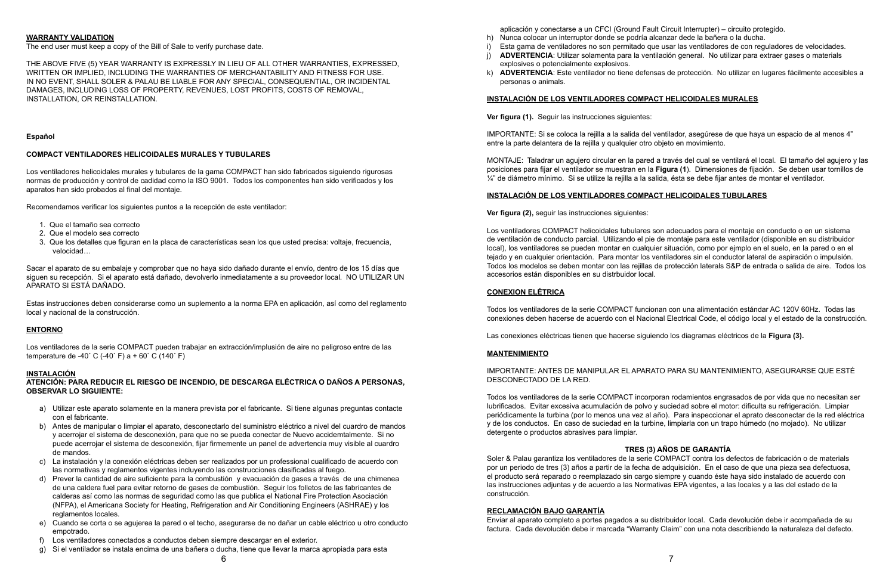#### **WARRANTY VALIDATION**

The end user must keep a copy of the Bill of Sale to verify purchase date.

THE ABOVE FIVE (5) YEAR WARRANTY IS EXPRESSLY IN LIEU OF ALL OTHER WARRANTIES, EXPRESSED, WRITTEN OR IMPLIED, INCLUDING THE WARRANTIES OF MERCHANTABILITY AND FITNESS FOR USE. IN NO EVENT, SHALL SOLER & PALAU BE LIABLE FOR ANY SPECIAL, CONSEQUENTIAL, OR INCIDENTAL DAMAGES, INCLUDING LOSS OF PROPERTY, REVENUES, LOST PROFITS, COSTS OF REMOVAL, INSTALLATION, OR REINSTALLATION.

#### **Español**

#### **COMPACT VENTILADORES HELICOIDALES MURALES Y TUBULARES**

Los ventiladores helicoidales murales y tubulares de la gama COMPACT han sido fabricados siguiendo rigurosas normas de producción y control de cadidad como la ISO 9001. Todos los componentes han sido verificados y los aparatos han sido probados al final del montaje.

Los ventiladores de la serie COMPACT pueden trabajar en extracción/implusión de aire no peligroso entre de las temperature de -40° C (-40° F) a + 60° C (140° F)

Recomendamos verificar los siguientes puntos a la recepción de este ventilador:

- 1. Que el tamaño sea correcto
- 2. Que el modelo sea correcto
- 3. Que los detalles que figuran en la placa de características sean los que usted precisa: voltaje, frecuencia, velocidad…

Sacar el aparato de su embalaje y comprobar que no haya sido dañado durante el envío, dentro de los 15 días que siguen su recepción. Si el aparato está dañado, devolverlo inmediatamente a su proveedor local. NO UTILIZAR UN APARATO SI ESTÁ DAÑADO.

Estas instrucciones deben considerarse como un suplemento a la norma EPA en aplicación, así como del reglamento local y nacional de la construcción.

#### **ENTORNO**

#### **INSTALACIÓN**

#### **ATENCIÓN: PARA REDUCIR EL RIESGO DE INCENDIO, DE DESCARGA ELÉCTRICA O DAÑOS A PERSONAS, OBSERVAR LO SIGUIENTE:**

MONTAJE: Taladrar un agujero circular en la pared a través del cual se ventilará el local. El tamaño del agujero y las posiciones para fijar el ventilador se muestran en la **Figura (1**). Dimensiones de fijación. Se deben usar tornillos de  $\frac{1}{4}$ " de diámetro mínimo. Si se utilize la rejilla a la salida, ésta se debe fijar antes de montar el ventilador.

- a) Utilizar este aparato solamente en la manera prevista por el fabricante. Si tiene algunas preguntas contacte con el fabricante.
- b) Antes de manipular o limpiar el aparato, desconectarlo del suministro eléctrico a nivel del cuardro de mandos y acerrojar el sistema de desconexión, para que no se pueda conectar de Nuevo accidemtalmente. Si no puede acerrojar el sistema de desconexión, fijar firmemente un panel de advertencia muy visible al cuardro de mandos.
- c) La instalación y la conexión eléctricas deben ser realizados por un professional cualificado de acuerdo con las normativas y reglamentos vigentes incluyendo las construcciones clasificadas al fuego.
- d) Prever la cantidad de aire suficiente para la combustión y evacuación de gases a través de una chimenea de una caldera fuel para evitar retorno de gases de combustión. Seguir los folletos de las fabricantes de calderas así como las normas de seguridad como las que publica el National Fire Protection Asociación (NFPA), el Americana Society for Heating, Refrigeration and Air Conditioning Engineers (ASHRAE) y los reglamentos locales.
- e) Cuando se corta o se agujerea la pared o el techo, asegurarse de no dañar un cable eléctrico u otro conducto empotrado.
- f) Los ventiladores conectados a conductos deben siempre descargar en el exterior.
- g) Si el ventilador se instala encima de una bañera o ducha, tiene que llevar la marca apropiada para esta

aplicación y conectarse a un CFCI (Ground Fault Circuit Interrupter) – circuito protegido. h) Nunca colocar un interruptor donde se podría alcanzar dede la bañera o la ducha. i) Esta gama de ventiladores no son permitado que usar las ventiladores de con reguladores de velocidades. j) **ADVERTENCIA**: Utilizar solamenta para la ventilación general. No utilizar para extraer gases o materials

- 
- 
- 
- explosives o potencialmente explosivos.
- personas o animals.

k) **ADVERTENCIA**: Este ventilador no tiene defensas de protección. No utilizar en lugares fácilmente accesibles a

### **INSTALACIÓN DE LOS VENTILADORES COMPACT HELICOIDALES MURALES**

**Ver figura (1).** Seguir las instrucciones siguientes:

IMPORTANTE: Si se coloca la rejilla a la salida del ventilador, asegúrese de que haya un espacio de al menos 4" entre la parte delantera de la rejilla y qualquier otro objeto en movimiento.

#### **INSTALACIÓN DE LOS VENTILADORES COMPACT HELICOIDALES TUBULARES**

**Ver figura (2),** seguir las instrucciones siguientes:

Los ventiladores COMPACT helicoidales tubulares son adecuados para el montaje en conducto o en un sistema de ventilación de conducto parcial. Utilizando el pie de montaje para este ventilador (disponible en su distribuidor local), los ventiladores se pueden montar en cualquier situación, como por ejmplo en el suelo, en la pared o en el tejado y en cualquier orientación. Para montar los ventiladores sin el conductor lateral de aspiración o impulsión. Todos los modelos se deben montar con las rejillas de protección laterals S&P de entrada o salida de aire. Todos los accesorios están disponibles en su distrbuidor local.

#### **CONEXION ELÉTRICA**

Todos los ventiladores de la serie COMPACT funcionan con una alimentación estándar AC 120V 60Hz. Todas las conexiones deben hacerse de acuerdo con el Nacional Electrical Code, el código local y el estado de la construcción.

Las conexiones eléctricas tienen que hacerse siguiendo los diagramas eléctricos de la **Figura (3).**

#### **MANTENIMIENTO**

#### IMPORTANTE: ANTES DE MANIPULAR EL APARATO PARA SU MANTENIMIENTO, ASEGURARSE QUE ESTÉ

DESCONECTADO DE LA RED.

Todos los ventiladores de la serie COMPACT incorporan rodamientos engrasados de por vida que no necesitan ser lubrificados. Evitar excesiva acumulación de polvo y suciedad sobre el motor: dificulta su refrigeración. Limpiar periódicamente la turbina (por lo menos una vez al año). Para inspeccionar el aprato desconectar de la red eléctrica y de los conductos. En caso de suciedad en la turbine, limpiarla con un trapo húmedo (no mojado). No utilizar detergente o productos abrasives para limpiar.

#### **TRES (3) AÑOS DE GARANTÍA**

Soler & Palau garantiza los ventiladores de la serie COMPACT contra los defectos de fabricación o de materials por un periodo de tres (3) años a partir de la fecha de adquisición. En el caso de que una pieza sea defectuosa, el producto será reparado o reemplazado sin cargo siempre y cuando éste haya sido instalado de acuerdo con las instrucciones adjuntas y de acuerdo a las Normativas EPA vigentes, a las locales y a las del estado de la construcción.

#### **RECLAMACIÓN BAJO GARANTÍA**

Enviar al aparato completo a portes pagados a su distribuidor local. Cada devolución debe ir acompañada de su factura. Cada devolución debe ir marcada "Warranty Claim" con una nota describiendo la naturaleza del defecto.